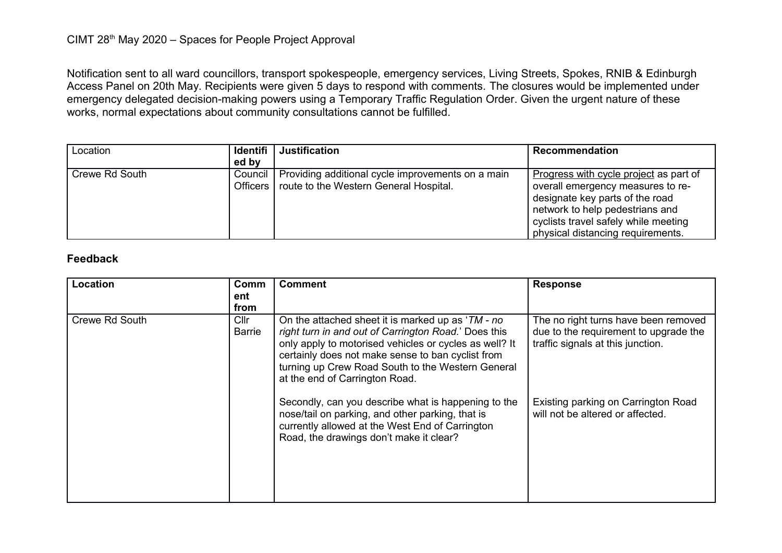Notification sent to all ward councillors, transport spokespeople, emergency services, Living Streets, Spokes, RNIB & Edinburgh Access Panel on 20th May. Recipients were given 5 days to respond with comments. The closures would be implemented under emergency delegated decision-making powers using a Temporary Traffic Regulation Order. Given the urgent nature of these works, normal expectations about community consultations cannot be fulfilled.

| Location       | Identifi   | <b>Justification</b>                                                                                  | <b>Recommendation</b>                                                                                                                                                                                                          |
|----------------|------------|-------------------------------------------------------------------------------------------------------|--------------------------------------------------------------------------------------------------------------------------------------------------------------------------------------------------------------------------------|
|                | ed by      |                                                                                                       |                                                                                                                                                                                                                                |
| Crewe Rd South | Officers I | Council   Providing additional cycle improvements on a main<br>route to the Western General Hospital. | Progress with cycle project as part of<br>overall emergency measures to re-<br>designate key parts of the road<br>network to help pedestrians and<br>cyclists travel safely while meeting<br>physical distancing requirements. |

## **Feedback**

| Location       | Comm<br>ent<br>from              | <b>Comment</b>                                                                                                                                                                                                                                                                                                  | <b>Response</b>                                                                                                    |
|----------------|----------------------------------|-----------------------------------------------------------------------------------------------------------------------------------------------------------------------------------------------------------------------------------------------------------------------------------------------------------------|--------------------------------------------------------------------------------------------------------------------|
| Crewe Rd South | Cl <sub>l</sub><br><b>Barrie</b> | On the attached sheet it is marked up as 'TM - no<br>right turn in and out of Carrington Road.' Does this<br>only apply to motorised vehicles or cycles as well? It<br>certainly does not make sense to ban cyclist from<br>turning up Crew Road South to the Western General<br>at the end of Carrington Road. | The no right turns have been removed<br>due to the requirement to upgrade the<br>traffic signals at this junction. |
|                |                                  | Secondly, can you describe what is happening to the<br>nose/tail on parking, and other parking, that is<br>currently allowed at the West End of Carrington<br>Road, the drawings don't make it clear?                                                                                                           | Existing parking on Carrington Road<br>will not be altered or affected.                                            |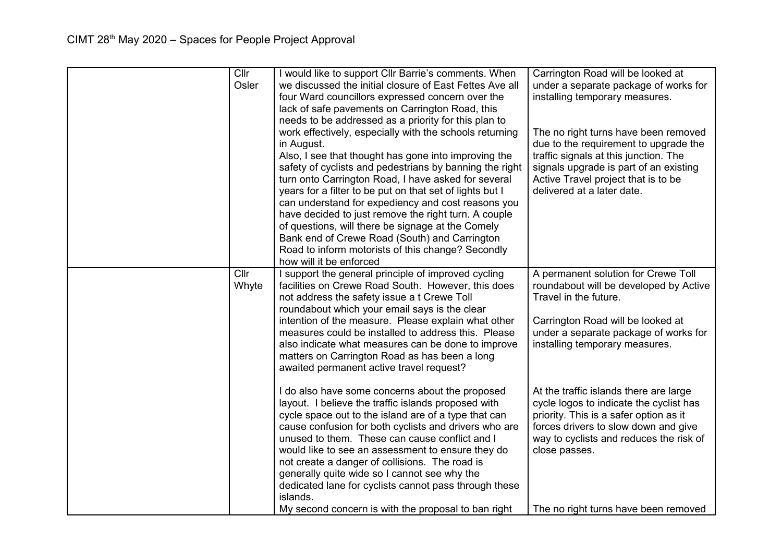| Cllr<br>Osler | I would like to support Cllr Barrie's comments. When<br>we discussed the initial closure of East Fettes Ave all<br>four Ward councillors expressed concern over the<br>lack of safe pavements on Carrington Road, this<br>needs to be addressed as a priority for this plan to<br>work effectively, especially with the schools returning<br>in August.<br>Also, I see that thought has gone into improving the<br>safety of cyclists and pedestrians by banning the right<br>turn onto Carrington Road, I have asked for several<br>years for a filter to be put on that set of lights but I<br>can understand for expediency and cost reasons you<br>have decided to just remove the right turn. A couple<br>of questions, will there be signage at the Comely<br>Bank end of Crewe Road (South) and Carrington<br>Road to inform motorists of this change? Secondly<br>how will it be enforced | Carrington Road will be looked at<br>under a separate package of works for<br>installing temporary measures.<br>The no right turns have been removed<br>due to the requirement to upgrade the<br>traffic signals at this junction. The<br>signals upgrade is part of an existing<br>Active Travel project that is to be<br>delivered at a later date. |
|---------------|---------------------------------------------------------------------------------------------------------------------------------------------------------------------------------------------------------------------------------------------------------------------------------------------------------------------------------------------------------------------------------------------------------------------------------------------------------------------------------------------------------------------------------------------------------------------------------------------------------------------------------------------------------------------------------------------------------------------------------------------------------------------------------------------------------------------------------------------------------------------------------------------------|-------------------------------------------------------------------------------------------------------------------------------------------------------------------------------------------------------------------------------------------------------------------------------------------------------------------------------------------------------|
| Cllr<br>Whyte | I support the general principle of improved cycling<br>facilities on Crewe Road South. However, this does<br>not address the safety issue a t Crewe Toll<br>roundabout which your email says is the clear<br>intention of the measure. Please explain what other<br>measures could be installed to address this. Please<br>also indicate what measures can be done to improve<br>matters on Carrington Road as has been a long<br>awaited permanent active travel request?                                                                                                                                                                                                                                                                                                                                                                                                                        | A permanent solution for Crewe Toll<br>roundabout will be developed by Active<br>Travel in the future.<br>Carrington Road will be looked at<br>under a separate package of works for<br>installing temporary measures.                                                                                                                                |
|               | I do also have some concerns about the proposed<br>layout. I believe the traffic islands proposed with<br>cycle space out to the island are of a type that can<br>cause confusion for both cyclists and drivers who are<br>unused to them. These can cause conflict and I<br>would like to see an assessment to ensure they do<br>not create a danger of collisions. The road is<br>generally quite wide so I cannot see why the<br>dedicated lane for cyclists cannot pass through these<br>islands.                                                                                                                                                                                                                                                                                                                                                                                             | At the traffic islands there are large<br>cycle logos to indicate the cyclist has<br>priority. This is a safer option as it<br>forces drivers to slow down and give<br>way to cyclists and reduces the risk of<br>close passes.                                                                                                                       |
|               | My second concern is with the proposal to ban right                                                                                                                                                                                                                                                                                                                                                                                                                                                                                                                                                                                                                                                                                                                                                                                                                                               | The no right turns have been removed                                                                                                                                                                                                                                                                                                                  |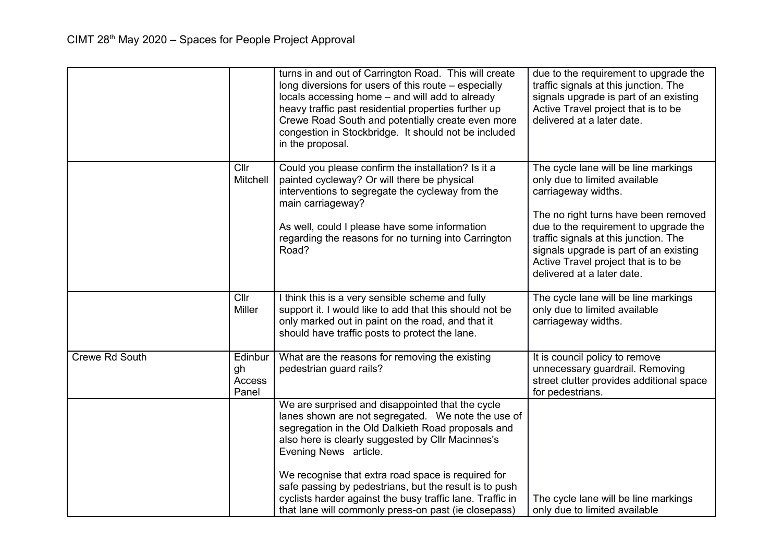|                       |                                  | turns in and out of Carrington Road. This will create<br>long diversions for users of this route – especially<br>locals accessing home - and will add to already<br>heavy traffic past residential properties further up<br>Crewe Road South and potentially create even more<br>congestion in Stockbridge. It should not be included<br>in the proposal.                                                                                                                       | due to the requirement to upgrade the<br>traffic signals at this junction. The<br>signals upgrade is part of an existing<br>Active Travel project that is to be<br>delivered at a later date.                                                                                                                                         |
|-----------------------|----------------------------------|---------------------------------------------------------------------------------------------------------------------------------------------------------------------------------------------------------------------------------------------------------------------------------------------------------------------------------------------------------------------------------------------------------------------------------------------------------------------------------|---------------------------------------------------------------------------------------------------------------------------------------------------------------------------------------------------------------------------------------------------------------------------------------------------------------------------------------|
|                       | Cllr<br>Mitchell                 | Could you please confirm the installation? Is it a<br>painted cycleway? Or will there be physical<br>interventions to segregate the cycleway from the<br>main carriageway?<br>As well, could I please have some information<br>regarding the reasons for no turning into Carrington<br>Road?                                                                                                                                                                                    | The cycle lane will be line markings<br>only due to limited available<br>carriageway widths.<br>The no right turns have been removed<br>due to the requirement to upgrade the<br>traffic signals at this junction. The<br>signals upgrade is part of an existing<br>Active Travel project that is to be<br>delivered at a later date. |
|                       | Cllr<br><b>Miller</b>            | I think this is a very sensible scheme and fully<br>support it. I would like to add that this should not be<br>only marked out in paint on the road, and that it<br>should have traffic posts to protect the lane.                                                                                                                                                                                                                                                              | The cycle lane will be line markings<br>only due to limited available<br>carriageway widths.                                                                                                                                                                                                                                          |
| <b>Crewe Rd South</b> | Edinbur<br>gh<br>Access<br>Panel | What are the reasons for removing the existing<br>pedestrian guard rails?                                                                                                                                                                                                                                                                                                                                                                                                       | It is council policy to remove<br>unnecessary guardrail. Removing<br>street clutter provides additional space<br>for pedestrians.                                                                                                                                                                                                     |
|                       |                                  | We are surprised and disappointed that the cycle<br>lanes shown are not segregated. We note the use of<br>segregation in the Old Dalkieth Road proposals and<br>also here is clearly suggested by Cllr Macinnes's<br>Evening News article.<br>We recognise that extra road space is required for<br>safe passing by pedestrians, but the result is to push<br>cyclists harder against the busy traffic lane. Traffic in<br>that lane will commonly press-on past (ie closepass) | The cycle lane will be line markings<br>only due to limited available                                                                                                                                                                                                                                                                 |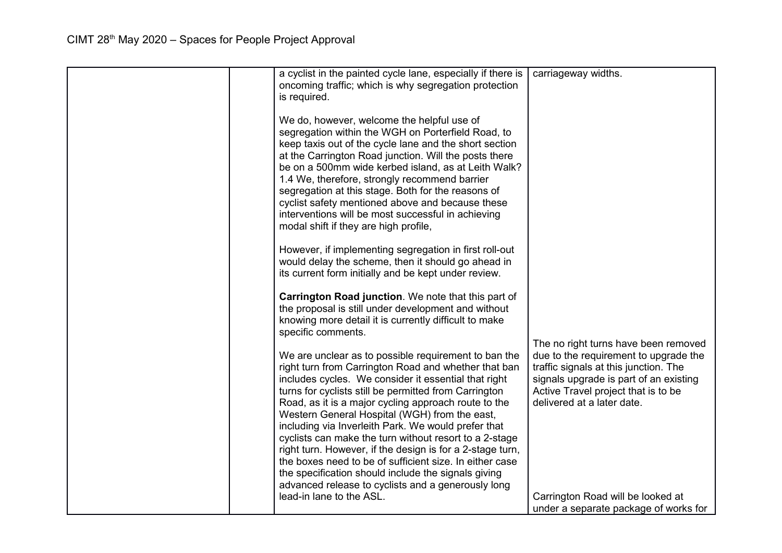| a cyclist in the painted cycle lane, especially if there is<br>oncoming traffic; which is why segregation protection<br>is required.<br>We do, however, welcome the helpful use of<br>segregation within the WGH on Porterfield Road, to<br>keep taxis out of the cycle lane and the short section<br>at the Carrington Road junction. Will the posts there<br>be on a 500mm wide kerbed island, as at Leith Walk?<br>1.4 We, therefore, strongly recommend barrier<br>segregation at this stage. Both for the reasons of                                                                                                                                                                    | carriageway widths.                                                                                                                                                                           |
|----------------------------------------------------------------------------------------------------------------------------------------------------------------------------------------------------------------------------------------------------------------------------------------------------------------------------------------------------------------------------------------------------------------------------------------------------------------------------------------------------------------------------------------------------------------------------------------------------------------------------------------------------------------------------------------------|-----------------------------------------------------------------------------------------------------------------------------------------------------------------------------------------------|
| cyclist safety mentioned above and because these<br>interventions will be most successful in achieving<br>modal shift if they are high profile,<br>However, if implementing segregation in first roll-out<br>would delay the scheme, then it should go ahead in<br>its current form initially and be kept under review.                                                                                                                                                                                                                                                                                                                                                                      |                                                                                                                                                                                               |
| Carrington Road junction. We note that this part of<br>the proposal is still under development and without<br>knowing more detail it is currently difficult to make<br>specific comments.                                                                                                                                                                                                                                                                                                                                                                                                                                                                                                    | The no right turns have been removed                                                                                                                                                          |
| We are unclear as to possible requirement to ban the<br>right turn from Carrington Road and whether that ban<br>includes cycles. We consider it essential that right<br>turns for cyclists still be permitted from Carrington<br>Road, as it is a major cycling approach route to the<br>Western General Hospital (WGH) from the east,<br>including via Inverleith Park. We would prefer that<br>cyclists can make the turn without resort to a 2-stage<br>right turn. However, if the design is for a 2-stage turn,<br>the boxes need to be of sufficient size. In either case<br>the specification should include the signals giving<br>advanced release to cyclists and a generously long | due to the requirement to upgrade the<br>traffic signals at this junction. The<br>signals upgrade is part of an existing<br>Active Travel project that is to be<br>delivered at a later date. |
| lead-in lane to the ASL.                                                                                                                                                                                                                                                                                                                                                                                                                                                                                                                                                                                                                                                                     | Carrington Road will be looked at<br>under a separate package of works for                                                                                                                    |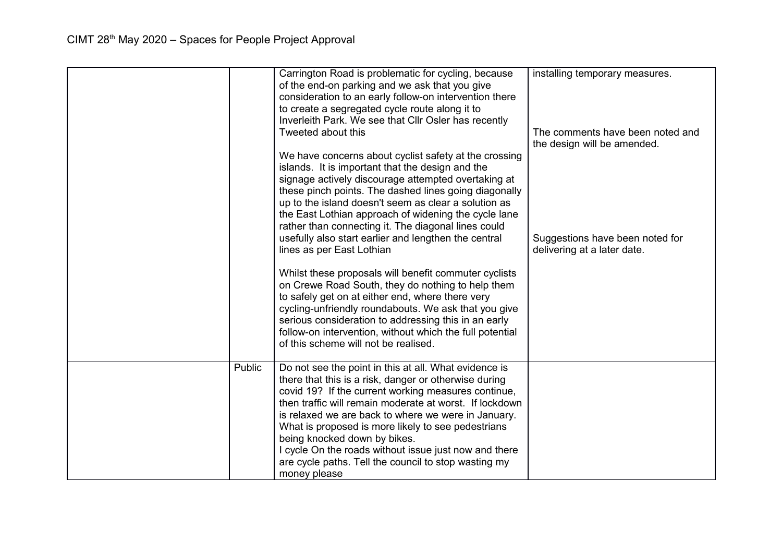|        | Carrington Road is problematic for cycling, because<br>of the end-on parking and we ask that you give<br>consideration to an early follow-on intervention there<br>to create a segregated cycle route along it to<br>Inverleith Park. We see that Cllr Osler has recently<br>Tweeted about this                                                                                                                                                                                                | installing temporary measures.<br>The comments have been noted and |
|--------|------------------------------------------------------------------------------------------------------------------------------------------------------------------------------------------------------------------------------------------------------------------------------------------------------------------------------------------------------------------------------------------------------------------------------------------------------------------------------------------------|--------------------------------------------------------------------|
|        | We have concerns about cyclist safety at the crossing<br>islands. It is important that the design and the<br>signage actively discourage attempted overtaking at<br>these pinch points. The dashed lines going diagonally<br>up to the island doesn't seem as clear a solution as                                                                                                                                                                                                              | the design will be amended.                                        |
|        | the East Lothian approach of widening the cycle lane<br>rather than connecting it. The diagonal lines could<br>usefully also start earlier and lengthen the central<br>lines as per East Lothian                                                                                                                                                                                                                                                                                               | Suggestions have been noted for<br>delivering at a later date.     |
|        | Whilst these proposals will benefit commuter cyclists<br>on Crewe Road South, they do nothing to help them<br>to safely get on at either end, where there very<br>cycling-unfriendly roundabouts. We ask that you give<br>serious consideration to addressing this in an early<br>follow-on intervention, without which the full potential<br>of this scheme will not be realised.                                                                                                             |                                                                    |
| Public | Do not see the point in this at all. What evidence is<br>there that this is a risk, danger or otherwise during<br>covid 19? If the current working measures continue,<br>then traffic will remain moderate at worst. If lockdown<br>is relaxed we are back to where we were in January.<br>What is proposed is more likely to see pedestrians<br>being knocked down by bikes.<br>I cycle On the roads without issue just now and there<br>are cycle paths. Tell the council to stop wasting my |                                                                    |
|        | money please                                                                                                                                                                                                                                                                                                                                                                                                                                                                                   |                                                                    |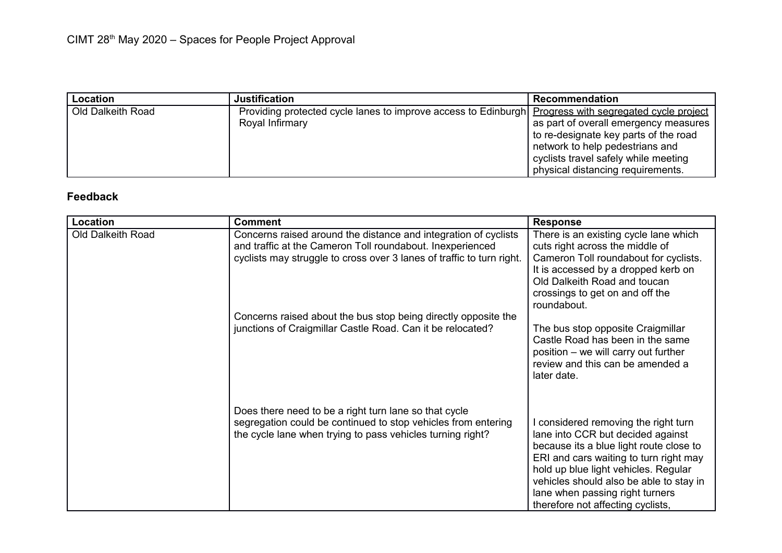| Location          | Justification                                                                                                            | <b>Recommendation</b>                                                                                                                                                                          |
|-------------------|--------------------------------------------------------------------------------------------------------------------------|------------------------------------------------------------------------------------------------------------------------------------------------------------------------------------------------|
| Old Dalkeith Road | Providing protected cycle lanes to improve access to Edinburgh Progress with segregated cycle project<br>Royal Infirmary | as part of overall emergency measures<br>to re-designate key parts of the road<br>network to help pedestrians and<br>cyclists travel safely while meeting<br>physical distancing requirements. |

## **Feedback**

| <b>Location</b>   | <b>Comment</b>                                                                                                              | <b>Response</b>                                                                                                                                                                                                                                                                                                           |
|-------------------|-----------------------------------------------------------------------------------------------------------------------------|---------------------------------------------------------------------------------------------------------------------------------------------------------------------------------------------------------------------------------------------------------------------------------------------------------------------------|
| Old Dalkeith Road | Concerns raised around the distance and integration of cyclists                                                             | There is an existing cycle lane which                                                                                                                                                                                                                                                                                     |
|                   | and traffic at the Cameron Toll roundabout. Inexperienced                                                                   | cuts right across the middle of                                                                                                                                                                                                                                                                                           |
|                   | cyclists may struggle to cross over 3 lanes of traffic to turn right.                                                       | Cameron Toll roundabout for cyclists.<br>It is accessed by a dropped kerb on<br>Old Dalkeith Road and toucan<br>crossings to get on and off the<br>roundabout.                                                                                                                                                            |
|                   | Concerns raised about the bus stop being directly opposite the                                                              |                                                                                                                                                                                                                                                                                                                           |
|                   | junctions of Craigmillar Castle Road. Can it be relocated?                                                                  | The bus stop opposite Craigmillar<br>Castle Road has been in the same<br>position – we will carry out further<br>review and this can be amended a<br>later date.                                                                                                                                                          |
|                   | Does there need to be a right turn lane so that cycle                                                                       |                                                                                                                                                                                                                                                                                                                           |
|                   | segregation could be continued to stop vehicles from entering<br>the cycle lane when trying to pass vehicles turning right? | I considered removing the right turn<br>lane into CCR but decided against<br>because its a blue light route close to<br>ERI and cars waiting to turn right may<br>hold up blue light vehicles. Regular<br>vehicles should also be able to stay in<br>lane when passing right turners<br>therefore not affecting cyclists, |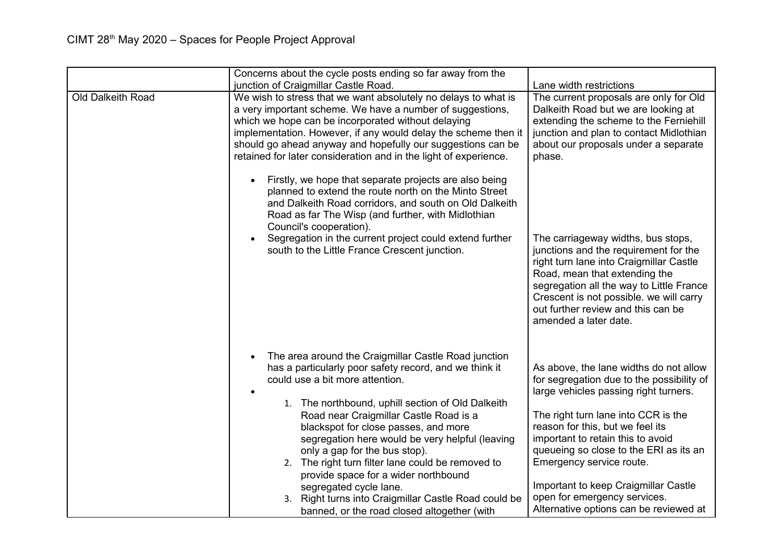|                   | Concerns about the cycle posts ending so far away from the<br>junction of Craigmillar Castle Road.                                                                                                                                                                                                                                                                                                                                                                                                                                                                                                         | Lane width restrictions                                                                                                                                                                                                                                                                                                                                                                                                              |
|-------------------|------------------------------------------------------------------------------------------------------------------------------------------------------------------------------------------------------------------------------------------------------------------------------------------------------------------------------------------------------------------------------------------------------------------------------------------------------------------------------------------------------------------------------------------------------------------------------------------------------------|--------------------------------------------------------------------------------------------------------------------------------------------------------------------------------------------------------------------------------------------------------------------------------------------------------------------------------------------------------------------------------------------------------------------------------------|
| Old Dalkeith Road | We wish to stress that we want absolutely no delays to what is<br>a very important scheme. We have a number of suggestions,<br>which we hope can be incorporated without delaying<br>implementation. However, if any would delay the scheme then it<br>should go ahead anyway and hopefully our suggestions can be<br>retained for later consideration and in the light of experience.                                                                                                                                                                                                                     | The current proposals are only for Old<br>Dalkeith Road but we are looking at<br>extending the scheme to the Ferniehill<br>junction and plan to contact Midlothian<br>about our proposals under a separate<br>phase.                                                                                                                                                                                                                 |
|                   | Firstly, we hope that separate projects are also being<br>planned to extend the route north on the Minto Street<br>and Dalkeith Road corridors, and south on Old Dalkeith<br>Road as far The Wisp (and further, with Midlothian<br>Council's cooperation).<br>Segregation in the current project could extend further<br>south to the Little France Crescent junction.                                                                                                                                                                                                                                     | The carriageway widths, bus stops,<br>junctions and the requirement for the<br>right turn lane into Craigmillar Castle<br>Road, mean that extending the<br>segregation all the way to Little France<br>Crescent is not possible. we will carry<br>out further review and this can be<br>amended a later date.                                                                                                                        |
|                   | The area around the Craigmillar Castle Road junction<br>has a particularly poor safety record, and we think it<br>could use a bit more attention.<br>1. The northbound, uphill section of Old Dalkeith<br>Road near Craigmillar Castle Road is a<br>blackspot for close passes, and more<br>segregation here would be very helpful (leaving<br>only a gap for the bus stop).<br>2. The right turn filter lane could be removed to<br>provide space for a wider northbound<br>segregated cycle lane.<br>3. Right turns into Craigmillar Castle Road could be<br>banned, or the road closed altogether (with | As above, the lane widths do not allow<br>for segregation due to the possibility of<br>large vehicles passing right turners.<br>The right turn lane into CCR is the<br>reason for this, but we feel its<br>important to retain this to avoid<br>queueing so close to the ERI as its an<br>Emergency service route.<br>Important to keep Craigmillar Castle<br>open for emergency services.<br>Alternative options can be reviewed at |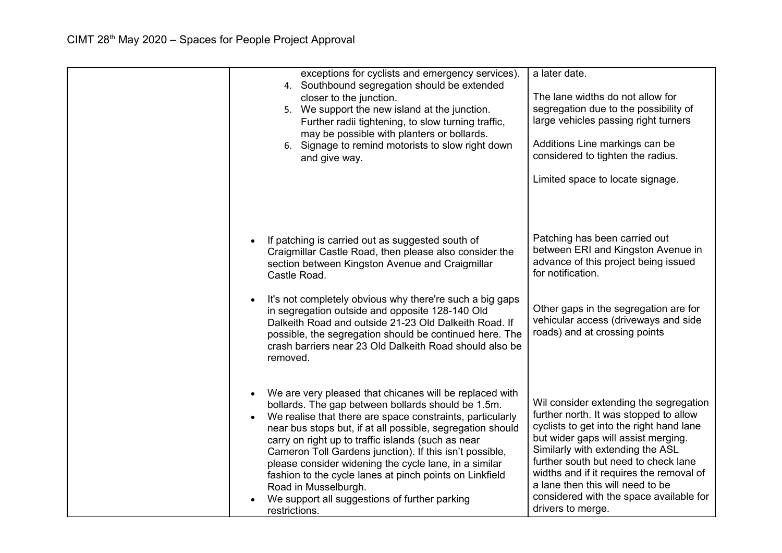| exceptions for cyclists and emergency services).<br>4. Southbound segregation should be extended<br>closer to the junction.<br>5. We support the new island at the junction.<br>Further radii tightening, to slow turning traffic,<br>may be possible with planters or bollards.<br>6. Signage to remind motorists to slow right down<br>and give way.                                                                                                                                                                                                                  | a later date.<br>The lane widths do not allow for<br>segregation due to the possibility of<br>large vehicles passing right turners<br>Additions Line markings can be<br>considered to tighten the radius.<br>Limited space to locate signage.                                                                                                                                                   |
|-------------------------------------------------------------------------------------------------------------------------------------------------------------------------------------------------------------------------------------------------------------------------------------------------------------------------------------------------------------------------------------------------------------------------------------------------------------------------------------------------------------------------------------------------------------------------|-------------------------------------------------------------------------------------------------------------------------------------------------------------------------------------------------------------------------------------------------------------------------------------------------------------------------------------------------------------------------------------------------|
| If patching is carried out as suggested south of<br>Craigmillar Castle Road, then please also consider the<br>section between Kingston Avenue and Craigmillar<br>Castle Road.<br>It's not completely obvious why there're such a big gaps<br>in segregation outside and opposite 128-140 Old<br>Dalkeith Road and outside 21-23 Old Dalkeith Road. If<br>possible, the segregation should be continued here. The<br>crash barriers near 23 Old Dalkeith Road should also be<br>removed.                                                                                 | Patching has been carried out<br>between ERI and Kingston Avenue in<br>advance of this project being issued<br>for notification.<br>Other gaps in the segregation are for<br>vehicular access (driveways and side<br>roads) and at crossing points                                                                                                                                              |
| We are very pleased that chicanes will be replaced with<br>bollards. The gap between bollards should be 1.5m.<br>We realise that there are space constraints, particularly<br>near bus stops but, if at all possible, segregation should<br>carry on right up to traffic islands (such as near<br>Cameron Toll Gardens junction). If this isn't possible,<br>please consider widening the cycle lane, in a similar<br>fashion to the cycle lanes at pinch points on Linkfield<br>Road in Musselburgh.<br>We support all suggestions of further parking<br>restrictions. | Wil consider extending the segregation<br>further north. It was stopped to allow<br>cyclists to get into the right hand lane<br>but wider gaps will assist merging.<br>Similarly with extending the ASL<br>further south but need to check lane<br>widths and if it requires the removal of<br>a lane then this will need to be<br>considered with the space available for<br>drivers to merge. |